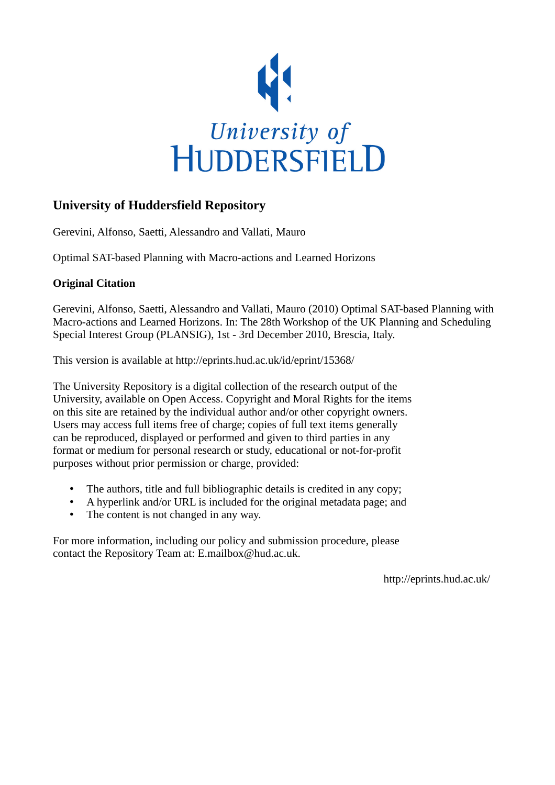

# **University of Huddersfield Repository**

Gerevini, Alfonso, Saetti, Alessandro and Vallati, Mauro

Optimal SAT-based Planning with Macro-actions and Learned Horizons

## **Original Citation**

Gerevini, Alfonso, Saetti, Alessandro and Vallati, Mauro (2010) Optimal SAT-based Planning with Macro-actions and Learned Horizons. In: The 28th Workshop of the UK Planning and Scheduling Special Interest Group (PLANSIG), 1st - 3rd December 2010, Brescia, Italy.

This version is available at http://eprints.hud.ac.uk/id/eprint/15368/

The University Repository is a digital collection of the research output of the University, available on Open Access. Copyright and Moral Rights for the items on this site are retained by the individual author and/or other copyright owners. Users may access full items free of charge; copies of full text items generally can be reproduced, displayed or performed and given to third parties in any format or medium for personal research or study, educational or not-for-profit purposes without prior permission or charge, provided:

- The authors, title and full bibliographic details is credited in any copy;
- A hyperlink and/or URL is included for the original metadata page; and
- The content is not changed in any way.

For more information, including our policy and submission procedure, please contact the Repository Team at: E.mailbox@hud.ac.uk.

http://eprints.hud.ac.uk/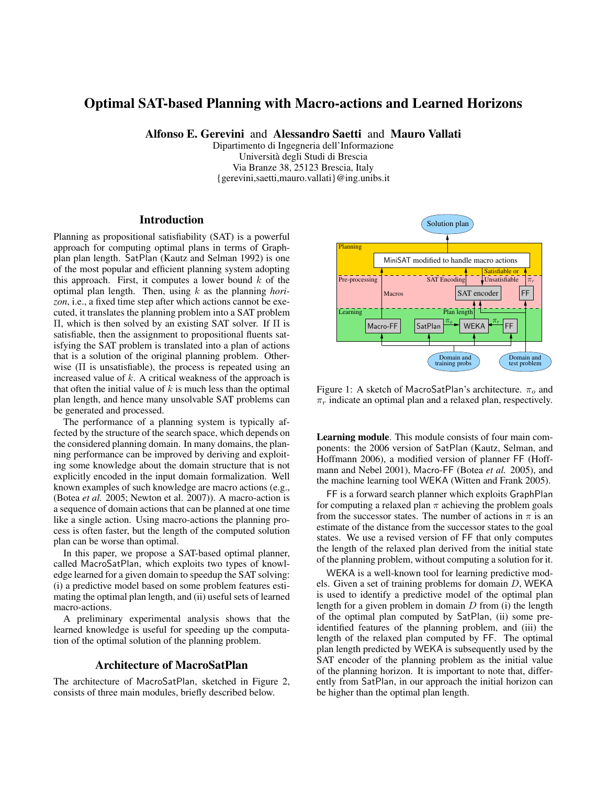### Optimal SAT-based Planning with Macro-actions and Learned Horizons

Alfonso E. Gerevini and Alessandro Saetti and Mauro Vallati

Dipartimento di Ingegneria dell'Informazione Università degli Studi di Brescia Via Branze 38, 25123 Brescia, Italy {gerevini,saetti,mauro.vallati}@ing.unibs.it

#### **Introduction**

Planning as propositional satisfiability (SAT) is a powerful approach for computing optimal plans in terms of Graphplan plan length. SatPlan (Kautz and Selman 1992) is one of the most popular and efficient planning system adopting this approach. First, it computes a lower bound  $k$  of the optimal plan length. Then, using k as the planning *horizon*, i.e., a fixed time step after which actions cannot be executed, it translates the planning problem into a SAT problem Π, which is then solved by an existing SAT solver. If Π is satisfiable, then the assignment to propositional fluents satisfying the SAT problem is translated into a plan of actions that is a solution of the original planning problem. Otherwise  $(II)$  is unsatisfiable), the process is repeated using an increased value of  $k$ . A critical weakness of the approach is that often the initial value of  $k$  is much less than the optimal plan length, and hence many unsolvable SAT problems can be generated and processed.

The performance of a planning system is typically affected by the structure of the search space, which depends on the considered planning domain. In many domains, the planning performance can be improved by deriving and exploiting some knowledge about the domain structure that is not explicitly encoded in the input domain formalization. Well known examples of such knowledge are macro actions (e.g., (Botea *et al.* 2005; Newton et al. 2007)). A macro-action is a sequence of domain actions that can be planned at one time like a single action. Using macro-actions the planning process is often faster, but the length of the computed solution plan can be worse than optimal.

In this paper, we propose a SAT-based optimal planner, called MacroSatPlan, which exploits two types of knowledge learned for a given domain to speedup the SAT solving: (i) a predictive model based on some problem features estimating the optimal plan length, and (ii) useful sets of learned macro-actions.

A preliminary experimental analysis shows that the learned knowledge is useful for speeding up the computation of the optimal solution of the planning problem.

#### Architecture of MacroSatPlan

The architecture of MacroSatPlan, sketched in Figure 2, consists of three main modules, briefly described below.



Figure 1: A sketch of MacroSatPlan's architecture.  $\pi_o$  and  $\pi_r$  indicate an optimal plan and a relaxed plan, respectively.

Learning module. This module consists of four main components: the 2006 version of SatPlan (Kautz, Selman, and Hoffmann 2006), a modified version of planner FF (Hoffmann and Nebel 2001), Macro-FF (Botea *et al.* 2005), and the machine learning tool WEKA (Witten and Frank 2005).

FF is a forward search planner which exploits GraphPlan for computing a relaxed plan  $\pi$  achieving the problem goals from the successor states. The number of actions in  $\pi$  is an estimate of the distance from the successor states to the goal states. We use a revised version of FF that only computes the length of the relaxed plan derived from the initial state of the planning problem, without computing a solution for it.

WEKA is a well-known tool for learning predictive models. Given a set of training problems for domain D, WEKA is used to identify a predictive model of the optimal plan length for a given problem in domain  $D$  from (i) the length of the optimal plan computed by SatPlan, (ii) some preidentified features of the planning problem, and (iii) the length of the relaxed plan computed by FF. The optimal plan length predicted by WEKA is subsequently used by the SAT encoder of the planning problem as the initial value of the planning horizon. It is important to note that, differently from SatPlan, in our approach the initial horizon can be higher than the optimal plan length.